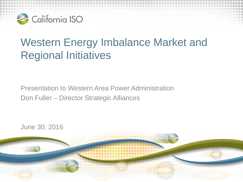

# Western Energy Imbalance Market and Regional Initiatives

Presentation to Western Area Power Administration Don Fuller – Director Strategic Alliances

June 30, 2016

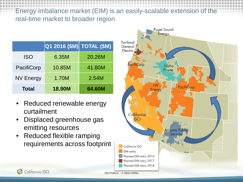#### Energy imbalance market (EIM) is an easily-scalable extension of the real-time market to broader region

|                  | $\boxed{\mathsf{Q1}}$ 2016 (\$M) TOTAL (\$M) |        |
|------------------|----------------------------------------------|--------|
| <b>ISO</b>       | 6.35M                                        | 20.26M |
| PacifiCorp       | 10.85M                                       | 41.80M |
| <b>NV Energy</b> | 1.70M                                        | 2.54M  |
| <b>Total</b>     | <b>18.90M</b>                                | 64.60M |

- Reduced renewable energy curtailment
- Displaced greenhouse gas emitting resources

California ISO

• Reduced flexible ramping requirements across footprint

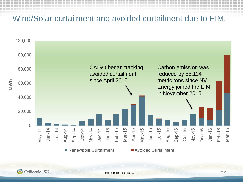### Wind/Solar curtailment and avoided curtailment due to EIM.



California ISO

ISO PUBLIC – © 2016 CAISO Page 3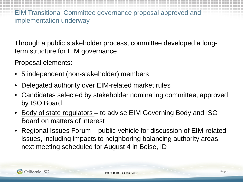EIM Transitional Committee governance proposal approved and implementation underway

Through a public stakeholder process, committee developed a longterm structure for EIM governance.

Proposal elements:

- 5 independent (non-stakeholder) members
- Delegated authority over EIM-related market rules
- Candidates selected by stakeholder nominating committee, approved by ISO Board
- <u>Body of state regulators</u> to advise EIM Governing Body and ISO Board on matters of interest
- Regional Issues Forum public vehicle for discussion of EIM-related issues, including impacts to neighboring balancing authority areas, next meeting scheduled for August 4 in Boise, ID

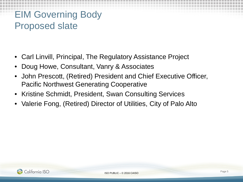## EIM Governing Body Proposed slate

- Carl Linvill, Principal, The Regulatory Assistance Project
- Doug Howe, Consultant, Vanry & Associates
- John Prescott, (Retired) President and Chief Executive Officer, Pacific Northwest Generating Cooperative
- Kristine Schmidt, President, Swan Consulting Services
- Valerie Fong, (Retired) Director of Utilities, City of Palo Alto

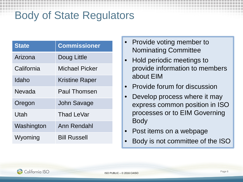# Body of State Regulators

| <b>State</b> | <b>Commissioner</b>   |
|--------------|-----------------------|
| Arizona      | Doug Little           |
| California   | <b>Michael Picker</b> |
| Idaho        | <b>Kristine Raper</b> |
| Nevada       | Paul Thomsen          |
| Oregon       | <b>John Savage</b>    |
| Utah         | <b>Thad LeVar</b>     |
| Washington   | Ann Rendahl           |
| Wyoming      | <b>Bill Russell</b>   |

- Provide voting member to Nominating Committee
- Hold periodic meetings to provide information to members about EIM
- Provide forum for discussion
- Develop process where it may express common position in ISO processes or to EIM Governing Body
- Post items on a webpage
- Body is not committee of the ISO

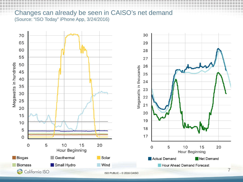#### Changes can already be seen in CAISO's net demand (Source: "ISO Today" iPhone App, 3/24/2016)

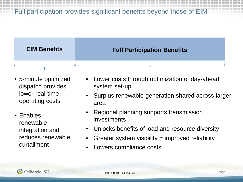Full participation provides significant benefits beyond those of EIM



- 5-minute optimized dispatch provides lower real-time operating costs
- Enables renewable integration and reduces renewable curtailment
- Lower costs through optimization of day-ahead system set-up
- Surplus renewable generation shared across larger area
- Regional planning supports transmission investments
- Unlocks benefits of load and resource diversity
- Greater system visibility  $=$  improved reliability
- Lowers compliance costs

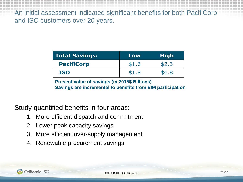An initial assessment indicated significant benefits for both PacifiCorp and ISO customers over 20 years.

| <b>Total Savings:</b> | Low   | <b>High</b> |
|-----------------------|-------|-------------|
| <b>PacifiCorp</b>     | \$1.6 | \$2.3       |
| <b>ISO</b>            | \$1.8 | \$6.8       |

**Present value of savings (in 2015\$ Billions) Savings are incremental to benefits from EIM participation.**

Study quantified benefits in four areas:

- 1. More efficient dispatch and commitment
- 2. Lower peak capacity savings
- 3. More efficient over-supply management
- 4. Renewable procurement savings

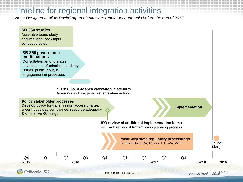### Timeline for regional integration activities

*Note: Designed to allow PacifiCorp to obtain state regulatory approvals before the end of 2017*



ISO PUBLIC – © 2016 CAISO

*Version April 4, 2016* Page 10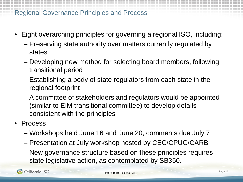#### Regional Governance Principles and Process

- Eight overarching principles for governing a regional ISO, including:
	- Preserving state authority over matters currently regulated by states
	- Developing new method for selecting board members, following transitional period
	- Establishing a body of state regulators from each state in the regional footprint
	- A committee of stakeholders and regulators would be appointed (similar to EIM transitional committee) to develop details consistent with the principles
- Process
	- Workshops held June 16 and June 20, comments due July 7
	- Presentation at July workshop hosted by CEC/CPUC/CARB
	- New governance structure based on these principles requires state legislative action, as contemplated by SB350.